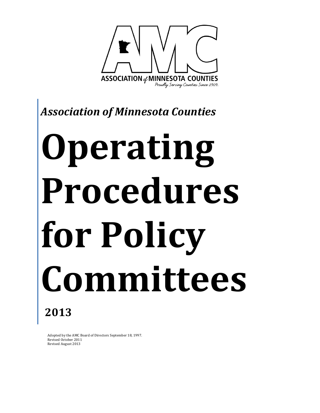

*Association of Minnesota Counties* 

# **Operating Procedures for Policy Committees 2013**

Adopted by the AMC Board of Directors September 18, 1997. Revised October 2011 Revised August 2013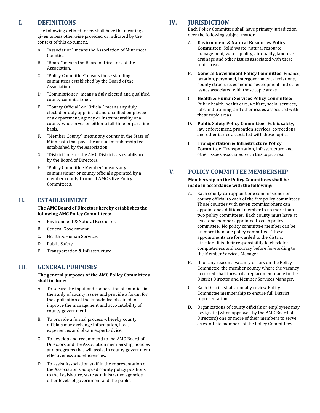# **I. DEFINITIONS**

The following defined terms shall have the meanings given unless otherwise provided or indicated by the context of this document.

- A. "Association" means the Association of Minnesota Counties.
- B. "Board" means the Board of Directors of the Association.
- C. "Policy Committee" means those standing committees established by the Board of the Association.
- D. "Commissioner" means a duly elected and qualified county commissioner.
- E. "County Official" or "Official" means any duly elected or duly appointed and qualified employee of a department, agency or instrumentality of a county who serves on either a full-time or part time basis.
- F. "Member County" means any county in the State of Minnesota that pays the annual membership fee established by the Association.
- G. "District" means the AMC Districts as established by the Board of Directors.
- H. "Policy Committee Member" means any commissioner or county official appointed by a member county to one of AMC's five Policy Committees.

## **II. ESTABLISHMENT**

#### **The AMC Board of Directors hereby establishes the following AMC Policy Committees:**

- A. Environment & Natural Resources
- B. General Government
- C. Health & Human Services
- D. Public Safety
- E. Transportation & Infrastructure

## **III. GENERAL PURPOSES**

#### **The general purposes of the AMC Policy Committees shall include:**

- A. To secure the input and cooperation of counties in the study of county issues and provide a forum for the application of the knowledge obtained to improve the management and accountability of county government.
- B. To provide a formal process whereby county officials may exchange information, ideas, experiences and obtain expert advice.
- C. To develop and recommend to the AMC Board of Directors and the Association membership, policies and programs that will assist in county government effectiveness and efficiencies.
- D. To assist Association staff in the representation of the Association's adopted county policy positions to the Legislature, state administrative agencies, other levels of government and the public.

# **IV. JURISDICTION**

Each Policy Committee shall have primary jurisdiction over the following subject matter.

- A. **Environment & Natural Resources Policy Committee:** Solid waste, natural resource management, water quality, air quality, land use, drainage and other issues associated with these topic areas.
- B. **General Government Policy Committee:** Finance, taxation, personnel, intergovernmental relations, county structure, economic development and other issues associated with these topic areas.
- C. **Health & Human Services Policy Committee:**  Public health, health care, welfare, social services, jobs and training, and other issues associated with these topic areas.
- D. **Public Safety Policy Committee:** Public safety, law enforcement, probation services, corrections, and other issues associated with these topics.
- E. **Transportation & Infrastructure Policy Committee:** Transportation, infrastructure and other issues associated with this topic area.

# **V. POLICY COMMITTEE MEMBERSHIP**

#### **Membership on the Policy Committees shall be made in accordance with the following:**

- A. Each county can appoint one commissioner or county official to each of the five policy committees. Those counties with seven commissioners can appoint one additional member to no more than two policy committees. Each county must have at least one member appointed to each policy committee. No policy committee member can be on more than one policy committee. These appointments are forwarded to the district director. It is their responsibility to check for completeness and accuracy before forwarding to the Member Services Manager.
- B. If for any reason a vacancy occurs on the Policy Committee, the member county where the vacancy occurred shall forward a replacement name to the District Director and Member Services Manager.
- C. Each District shall annually review Policy Committee membership to ensure full District representation.
- D. Organizations of county officials or employees may designate (when approved by the AMC Board of Directors) one or more of their members to serve as ex-officio members of the Policy Committees.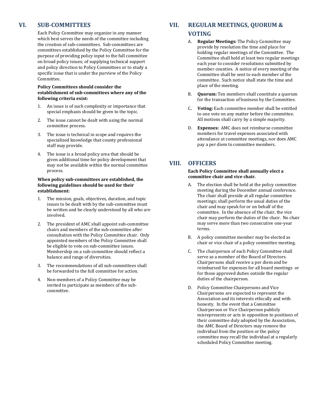# **VI. SUB-COMMITTEES**

Each Policy Committee may organize in any manner which best serves the needs of the committee including the creation of sub-committees. Sub-committees are committees established by the Policy Committee for the purpose of providing policy input to the full committee on broad policy issues; of supplying technical support and policy direction to Policy Committees or to study a specific issue that is under the purview of the Policy Committee.

#### **Policy Committees should consider the establishment of sub-committees where any of the following criteria exist:**

- 1. An issue is of such complexity or importance that special emphasis should be given to the topic.
- 2. The issue cannot be dealt with using the normal committee process.
- 3. The issue is technical in scope and requires the specialized knowledge that county professional staff may provide.
- 4. The issue is a broad policy area that should be given additional time for policy development that may not be available within the normal committee process.

#### **When policy sub-committees are established, the following guidelines should be used for their establishment:**

- 1. The mission, goals, objectives, duration, and topic issues to be dealt with by the sub-committee must be written and be clearly understood by all who are involved.
- 2. The president of AMC shall appoint sub-committee chairs and members of the sub-committee after consultation with the Policy Committee chair. Only appointed members of the Policy Committee shall be eligible to vote on sub-committee issues. Membership on a sub-committee should reflect a balance and range of diversities.
- 3. The recommendations of all sub-committees shall be forwarded to the full committee for action.
- 4. Non-members of a Policy Committee may be invited to participate as members of the subcommittee.

# **VII. REGULAR MEETINGS, QUORUM &**

### **VOTING**

- A. **Regular Meetings:** The Policy Committee may provide by resolution the time and place for holding regular meetings of the Committee. The Committee shall hold at least two regular meetings each year to consider resolutions submitted by member counties. A notice of every meeting of the Committee shall be sent to each member of the committee. Such notice shall state the time and place of the meeting.
- B. **Quorum:** Ten members shall constitute a quorum for the transaction of business by the Committee.
- C**. Voting:** Each committee member shall be entitled to one vote on any matter before the committee. All motions shall carry by a simple majority.
- D. **Expenses:** AMC does not reimburse committee members for travel expenses associated with attendance at committee meetings, nor does AMC pay a per diem to committee members.

# **VIII. OFFICERS**

#### **Each Policy Committee shall annually elect a committee chair and vice chair.**

- A. The election shall be held at the policy committee meeting during the December annual conference. The chair shall preside at all regular committee meetings; shall perform the usual duties of the chair and may speak for or on behalf of the committee. In the absence of the chair, the vice chair may perform the duties of the chair. No chair may serve more than two consecutive one-year terms.
- B. A policy committee member may be elected as chair or vice chair of a policy committee meeting.
- C. The chairperson of each Policy Committee shall serve as a member of the Board of Directors. Chairpersons shall receive a per diem and be reimbursed for expenses for all board meetings or for those approved duties outside the regular duties of the chairperson.
- D. Policy Committee Chairpersons and Vice Chairpersons are expected to represent the Association and its interests ethically and with honesty. In the event that a Committee Chairperson or Vice Chairperson publicly misrepresents or acts in opposition to positions of their committee duly adopted by the Association, the AMC Board of Directors may remove the individual from the position or the policy committee may recall the individual at a regularly scheduled Policy Committee meeting.